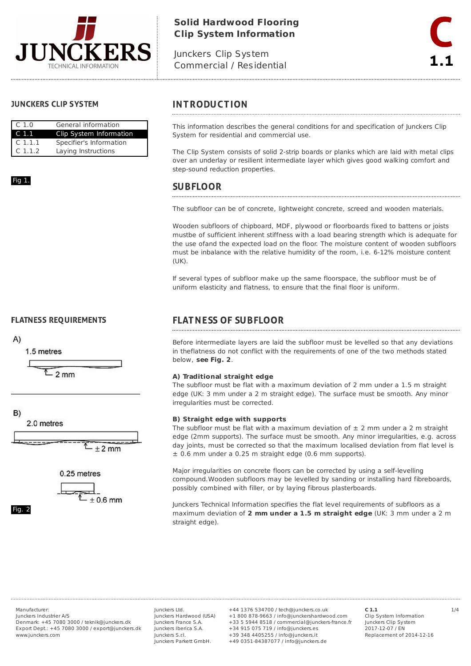

# **Solid Hardwood Flooring Clip System Information**

Junckers Clip System Commercial / Residential

### **JUNCKERS CLIP SYSTEM**

| C <sub>1.0</sub> | General information     |  |  |
|------------------|-------------------------|--|--|
| C 1.1            | Clip System Information |  |  |
| $C$ 1.1.1        | Specifier's Information |  |  |
| $C$ 1.1.2        | Laying Instructions     |  |  |

### Fig 1









Fig. 2

## **INTRODUCTION**

This information describes the general conditions for and specification of Junckers Clip System for residential and commercial use.

The Clip System consists of solid 2-strip boards or planks which are laid with metal clips over an underlay or resilient intermediate layer which gives good walking comfort and step-sound reduction properties.

## **SUBFLOOR**

The subfloor can be of concrete, lightweight concrete, screed and wooden materials.

Wooden subfloors of chipboard, MDF, plywood or floorboards fixed to battens or joists mustbe of sufficient inherent stiffness with a load bearing strength which is adequate for the use ofand the expected load on the floor. The moisture content of wooden subfloors must be inbalance with the relative humidity of the room, i.e. 6-12% moisture content (UK).

If several types of subfloor make up the same floorspace, the subfloor must be of uniform elasticity and flatness, to ensure that the final floor is uniform.

# **FLATNESS OF SUBFLOOR**

Before intermediate layers are laid the subfloor must be levelled so that any deviations in theflatness do not conflict with the requirements of one of the two methods stated below, **see Fig. 2**.

### **A) Traditional straight edge**

The subfloor must be flat with a maximum deviation of 2 mm under a 1.5 m straight edge (UK: 3 mm under a 2 m straight edge). The surface must be smooth. Any minor irregularities must be corrected.

#### **B) Straight edge with supports**

The subfloor must be flat with a maximum deviation of  $\pm$  2 mm under a 2 m straight edge (2mm supports). The surface must be smooth. Any minor irregularities, e.g. across day joints, must be corrected so that the maximum localised deviation from flat level is ± 0.6 mm under a 0.25 m straight edge (0.6 mm supports).

Major irregularities on concrete floors can be corrected by using a self-levelling compound.Wooden subfloors may be levelled by sanding or installing hard fibreboards, possibly combined with filler, or by laying fibrous plasterboards.

Junckers Technical Information specifies the flat level requirements of subfloors as a maximum deviation of **2 mm under a 1.5 m straight edge** (UK: 3 mm under a 2 m straight edge).

Junckers Industrier A/S Denmark: +45 7080 3000 / teknik@junckers.dk Export Dept.: +45 7080 3000 / export@junckers.dk www.junckers.com

Junckers Ltd. Junckers Hardwood (USA) Junckers France S.A. Junckers Iberica S.A. Junckers S.r.I. Junckers Parkett GmbH.

Manufacturer: Junckers Ltd. +44 1376 534700 / tech@junckers.co.uk **C 1.1** 1/4 +1 800 878-9663 / info@junckershardwood.com +33 5 5944 8518 / commercial@junckers-france.fr +34 915 075 719 / info@junckers.es +39 348 4405255 / info@junckers.it +49 0351-84387077 / info@junckers.de

**C 1.1** Clip System Information Junckers Clip System 2017-12-07 / EN Replacement of 2014-12-16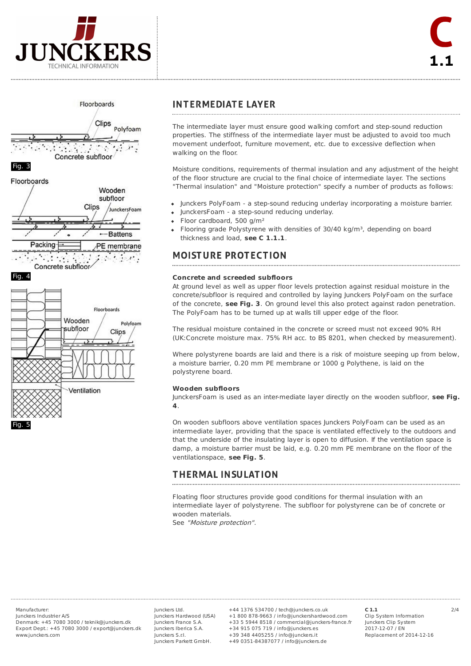





Fig. 4



## **INTERMEDIATE LAYER**

The intermediate layer must ensure good walking comfort and step-sound reduction properties. The stiffness of the intermediate layer must be adjusted to avoid too much movement underfoot, furniture movement, etc. due to excessive deflection when walking on the floor.

Moisture conditions, requirements of thermal insulation and any adjustment of the height of the floor structure are crucial to the final choice of intermediate layer. The sections "Thermal insulation" and "Moisture protection" specify a number of products as follows:

- Junckers PolyFoam a step-sound reducing underlay incorporating a moisture barrier.
- JunckersFoam a step-sound reducing underlay.
- Floor cardboard, 500 g/m²
- Flooring grade Polystyrene with densities of 30/40 kg/m<sup>3</sup>, depending on board thickness and load, **see C 1.1.1**.

# **MOISTURE PROTECTION**

#### **Concrete and screeded subfloors**

At ground level as well as upper floor levels protection against residual moisture in the concrete/subfloor is required and controlled by laying Junckers PolyFoam on the surface of the concrete, **see Fig. 3**. On ground level this also protect against radon penetration. The PolyFoam has to be turned up at walls till upper edge of the floor.

The residual moisture contained in the concrete or screed must not exceed 90% RH (UK:Concrete moisture max. 75% RH acc. to BS 8201, when checked by measurement).

Where polystyrene boards are laid and there is a risk of moisture seeping up from below, a moisture barrier, 0.20 mm PE membrane or 1000 g Polythene, is laid on the polystyrene board.

#### **Wooden subfloors**

JunckersFoam is used as an inter-mediate layer directly on the wooden subfloor, **see Fig. 4**.

On wooden subfloors above ventilation spaces Junckers PolyFoam can be used as an intermediate layer, providing that the space is ventilated effectively to the outdoors and that the underside of the insulating layer is open to diffusion. If the ventilation space is damp, a moisture barrier must be laid, e.g. 0.20 mm PE membrane on the floor of the ventilationspace, **see Fig. 5**.

# **THERMAL INSULATION**

Floating floor structures provide good conditions for thermal insulation with an intermediate layer of polystyrene. The subfloor for polystyrene can be of concrete or wooden materials.

See "Moisture protection".

Junckers Industrier A/S Denmark: +45 7080 3000 / teknik@junckers.dk Export Dept.: +45 7080 3000 / export@junckers.dk www.junckers.com

Junckers Ltd. Junckers Hardwood (USA) Junckers France S.A. Junckers Iberica S.A. Junckers S.r.I. Junckers Parkett GmbH.

Manufacturer: Junckers Ltd. +44 1376 534700 / tech@junckers.co.uk **C 1.1** 2/4 +1 800 878-9663 / info@junckershardwood.com +33 5 5944 8518 / commercial@junckers-france.fr +34 915 075 719 / info@junckers.es +39 348 4405255 / info@junckers.it +49 0351-84387077 / info@junckers.de

**C 1.1** Clip System Information Junckers Clip System 2017-12-07 / EN Replacement of 2014-12-16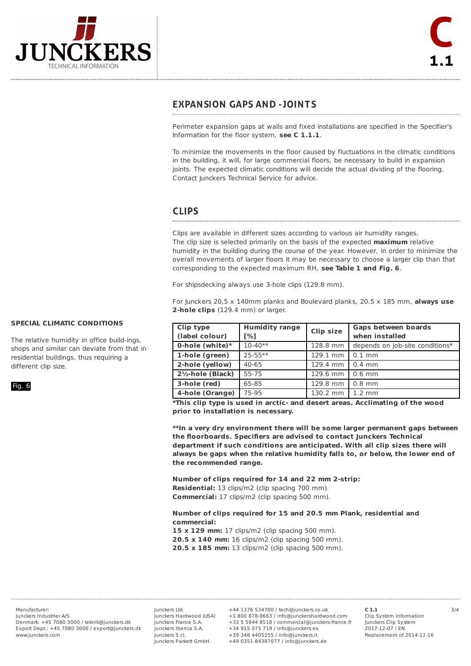

## **EXPANSION GAPS AND -JOINTS**

Perimeter expansion gaps at walls and fixed installations are specified in the Specifier's Information for the floor system, **see C 1.1.1**.

To minimize the movements in the floor caused by fluctuations in the climatic conditions in the building, it will, for large commercial floors, be necessary to build in expansion joints. The expected climatic conditions will decide the actual dividing of the flooring. Contact Junckers Technical Service for advice.

## **CLIPS**

Clips are available in different sizes according to various air humidity ranges. The clip size is selected primarily on the basis of the expected **maximum** relative humidity in the building during the course of the year. However, in order to minimize the overall movements of larger floors it may be necessary to choose a larger clip than that corresponding to the expected maximum RH, **see Table 1 and Fig. 6**.

For shipsdecking always use 3-hole clips (129.8 mm).

For Junckers 20,5 x 140mm planks and Boulevard planks, 20.5 x 185 mm, **always use 2-hole clips** (129.4 mm) or larger.

| Clip type                    | <b>Humidity range</b> | <b>Clip size</b> | Gaps between boards             |
|------------------------------|-----------------------|------------------|---------------------------------|
| (label colour)               | [%]                   |                  | when installed                  |
| 0-hole (white) $*$           | $10 - 40**$           | 128.8 mm         | depends on job-site conditions* |
| 1-hole (green)               | $25 - 55$ **          | 129.1 mm         | $0.1$ mm                        |
| 2-hole (yellow)              | $40 - 65$             | 129.4 mm         | $0.4$ mm                        |
| $2\frac{1}{2}$ -hole (Black) | 55-75                 | 129.6 mm         | $0.6$ mm                        |
| 3-hole (red)                 | 65-85                 | 129.8 mm         | $0.8$ mm                        |
| 4-hole (Orange)              | 75-95                 | 130.2 mm         | $1.2 \text{ mm}$                |

**\*This clip type is used in arctic- and desert areas. Acclimating of the wood prior to installation is necessary.**

**\*\*In a very dry environment there will be some larger permanent gaps between the floorboards. Specifiers are advised to contact Junckers Technical department if such conditions are anticipated. With all clip sizes there will always be gaps when the relative humidity falls to, or below, the lower end of the recommended range.**

**Number of clips required for 14 and 22 mm 2-strip:**

**Residential:** 13 clips/m2 (clip spacing 700 mm).

**Commercial:** 17 clips/m2 (clip spacing 500 mm).

#### **Number of clips required for 15 and 20.5 mm Plank, residential and commercial:**

**15 x 129 mm:** 17 clips/m2 (clip spacing 500 mm). **20.5 x 140 mm:** 16 clips/m2 (clip spacing 500 mm). **20.5 x 185 mm:** 13 clips/m2 (clip spacing 500 mm).

Junckers Industrier A/S Denmark: +45 7080 3000 / teknik@junckers.dk Export Dept.: +45 7080 3000 / export@junckers.dk www.junckers.com

Junckers Ltd. Junckers Hardwood (USA) Junckers France S.A. Junckers Iberica S.A. Junckers S.r.I. Junckers Parkett GmbH.

Manufacturer: Junckers Ltd. +44 1376 534700 / tech@junckers.co.uk **C 1.1** 3/4 +1 800 878-9663 / info@junckershardwood.com +33 5 5944 8518 / commercial@junckers-france.fr +34 915 075 719 / info@junckers.es +39 348 4405255 / info@junckers.it +49 0351-84387077 / info@junckers.de

**C 1.1** Clip System Information Junckers Clip System 2017-12-07 / EN Replacement of 2014-12-16

## **SPECIAL CLIMATIC CONDITIONS**

The relative humidity in office build-ings, shops and similar can deviate from that in residential buildings, thus requiring a different clip size.

Fig. 6